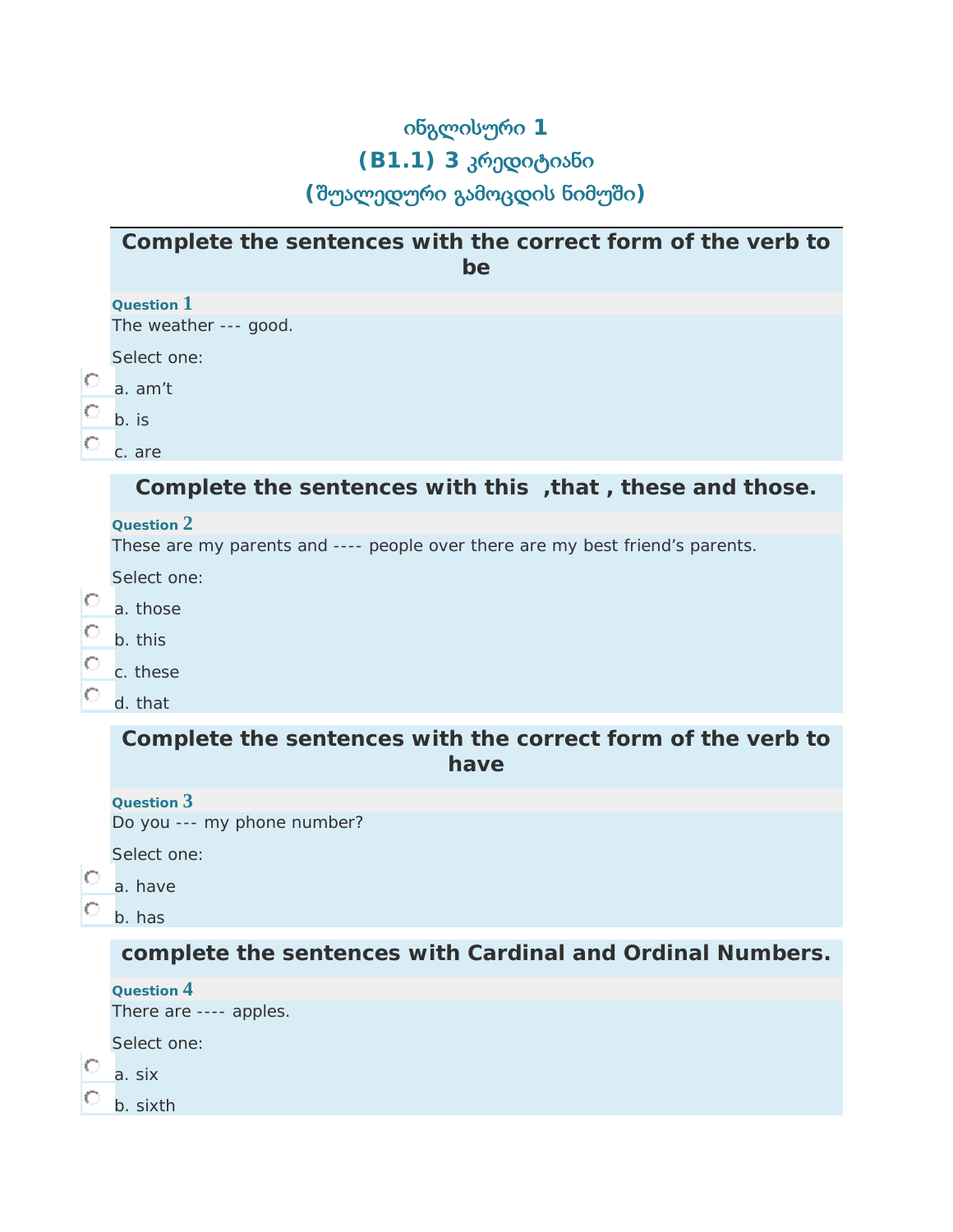## ინგლისური **1 (B1.1) 3** კრედიტიანი **(**შუალედური გამოცდის ნიმუში**)**

## **Complete the sentences with the correct form of the verb** *to be*

|             | Question 1                                                                    |
|-------------|-------------------------------------------------------------------------------|
|             | The weather --- good.                                                         |
| Ю<br>O<br>O | Select one:                                                                   |
|             | a. am't                                                                       |
|             | $b.$ is                                                                       |
|             |                                                                               |
|             | c. are                                                                        |
|             | Complete the sentences with this, that, these and those.                      |
|             | Question 2                                                                    |
|             | These are my parents and ---- people over there are my best friend's parents. |
|             | Select one:                                                                   |
| O           | a. those                                                                      |
| O           | b. this                                                                       |
| O           |                                                                               |
|             | c. these                                                                      |
| O           | d. that                                                                       |
|             | Complete the sentences with the correct form of the verb to                   |
|             | have                                                                          |
|             |                                                                               |
|             | Question $3$<br>Do you --- my phone number?                                   |
|             |                                                                               |
|             | Select one:                                                                   |
| O           | a. have                                                                       |
| O           | b. has                                                                        |
|             | complete the sentences with Cardinal and Ordinal Numbers.                     |
|             |                                                                               |
|             | Question 4<br>There are ---- apples.                                          |
|             |                                                                               |
|             | Select one:                                                                   |
| Ю           | a. six                                                                        |
|             | b. sixth                                                                      |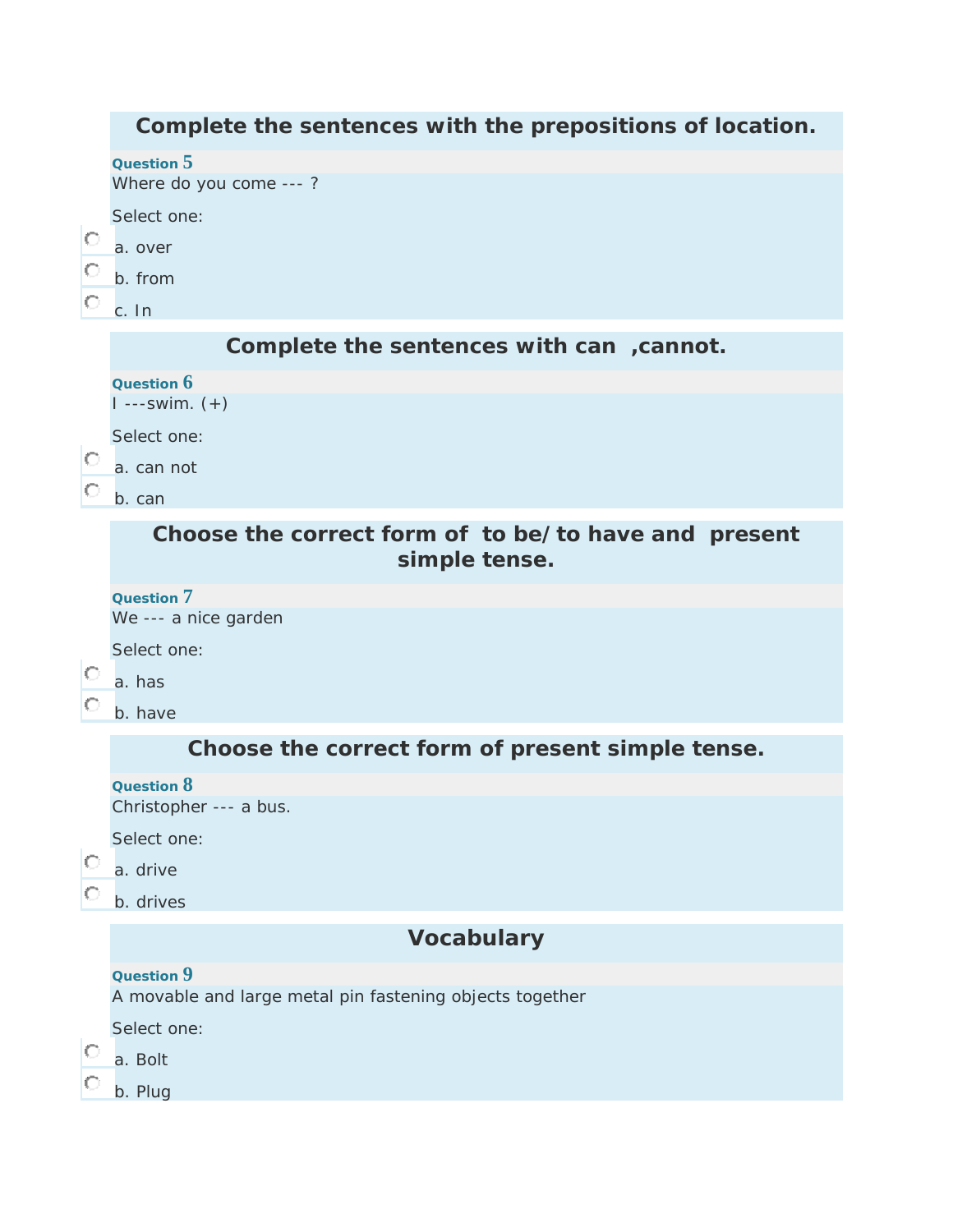|   | Complete the sentences with the prepositions of location.              |
|---|------------------------------------------------------------------------|
|   | Question 5<br>Where do you come ---?                                   |
|   | Select one:                                                            |
| O | a. over                                                                |
| O | b. from                                                                |
| Ю | c. In                                                                  |
|   | Complete the sentences with can , cannot.                              |
|   | Question 6                                                             |
|   | $1 -- swim. (+)$                                                       |
|   | Select one:                                                            |
| O | a. can not                                                             |
| O | b. can                                                                 |
|   | Choose the correct form of to be/to have and present<br>simple tense.  |
|   | Question 7                                                             |
|   | We --- a nice garden                                                   |
|   | Select one:                                                            |
| O | a. has                                                                 |
| O | b. have                                                                |
|   | Choose the correct form of present simple tense.                       |
|   | Question 8                                                             |
|   | Christopher --- a bus.                                                 |
|   | Select one:                                                            |
|   | a. drive                                                               |
|   | b. drives                                                              |
|   | <b>Vocabulary</b>                                                      |
|   | Question 9<br>A movable and large metal pin fastening objects together |
|   | Select one:                                                            |
|   | a. Bolt                                                                |
|   | b. Plug                                                                |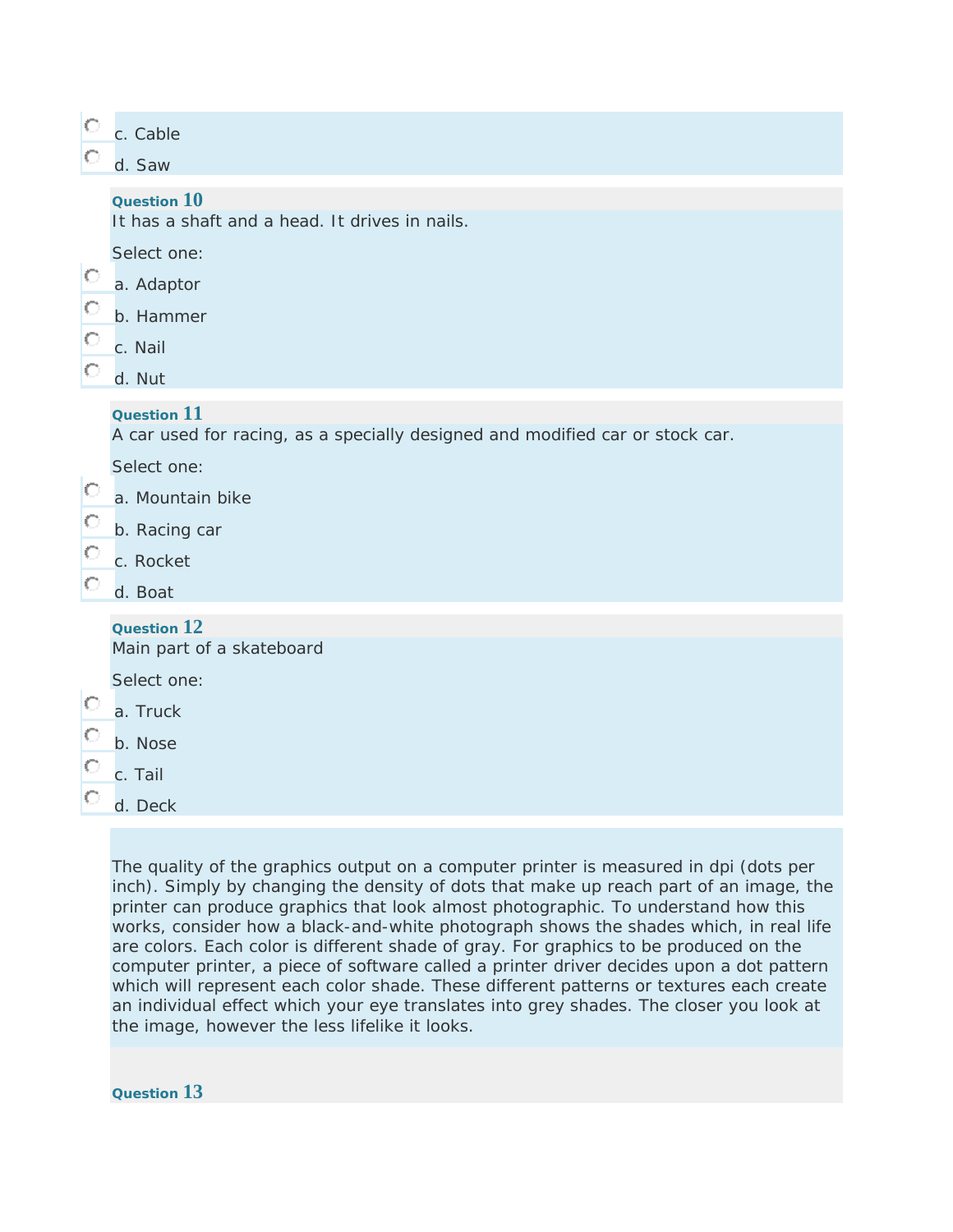|         | c. Cable<br>d. Saw                                                            |
|---------|-------------------------------------------------------------------------------|
|         | Question 10                                                                   |
|         | It has a shaft and a head. It drives in nails.                                |
|         | Select one:                                                                   |
| Ю       | a. Adaptor                                                                    |
| O       | b. Hammer                                                                     |
| $\circ$ | c. Nail                                                                       |
| $\circ$ | d. Nut                                                                        |
|         | Question 11                                                                   |
|         | A car used for racing, as a specially designed and modified car or stock car. |
|         | Select one:                                                                   |
| O       | a. Mountain bike                                                              |
| O       | b. Racing car                                                                 |
| $\circ$ | c. Rocket                                                                     |
| О       | d. Boat                                                                       |
|         | Question 12                                                                   |
|         | Main part of a skateboard                                                     |
|         | Select one:                                                                   |
| $\circ$ | a. Truck                                                                      |
| О       | b. Nose                                                                       |
| O       | c. Tail                                                                       |
| O       | d. Deck                                                                       |

The quality of the graphics output on a computer printer is measured in dpi (dots per inch). Simply by changing the density of dots that make up reach part of an image, the printer can produce graphics that look almost photographic. To understand how this works, consider how a black-and-white photograph shows the shades which, in real life are colors. Each color is different shade of gray. For graphics to be produced on the computer printer, a piece of software called a printer driver decides upon a dot pattern which will represent each color shade. These different patterns or textures each create an individual effect which your eye translates into grey shades. The closer you look at the image, however the less lifelike it looks.

**Question 13**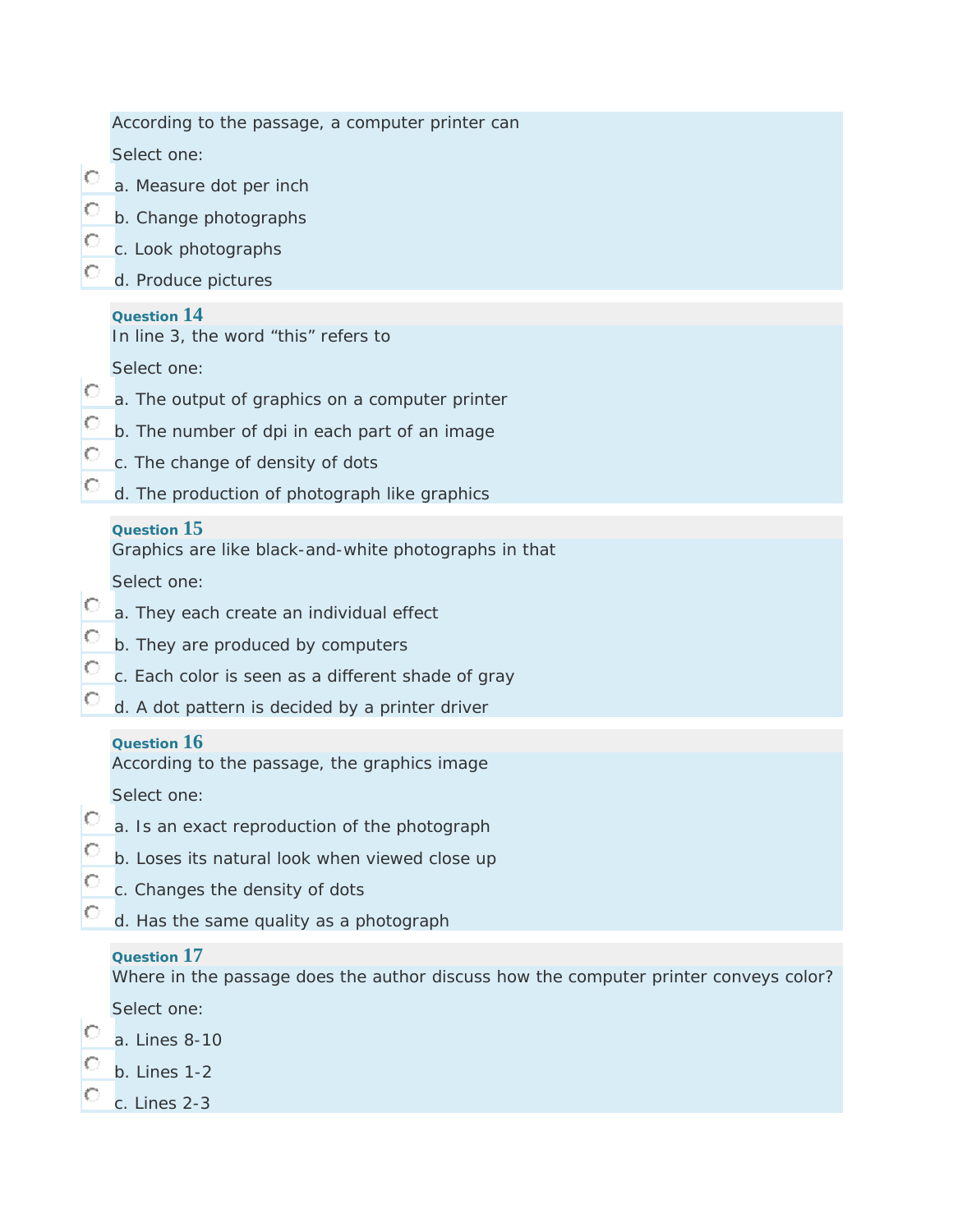| O<br>O<br>О<br>О  | According to the passage, a computer printer can                                                    |
|-------------------|-----------------------------------------------------------------------------------------------------|
|                   | Select one:                                                                                         |
|                   | a. Measure dot per inch                                                                             |
|                   | b. Change photographs                                                                               |
|                   | c. Look photographs                                                                                 |
|                   | d. Produce pictures                                                                                 |
| O<br>$\circ$<br>О | Question 14<br>In line 3, the word "this" refers to                                                 |
|                   | Select one:                                                                                         |
|                   | a. The output of graphics on a computer printer                                                     |
|                   | b. The number of dpi in each part of an image                                                       |
|                   | c. The change of density of dots                                                                    |
| O                 | d. The production of photograph like graphics                                                       |
|                   | Question $15$<br>Graphics are like black-and-white photographs in that                              |
|                   | Select one:                                                                                         |
| O                 | a. They each create an individual effect                                                            |
| O                 | b. They are produced by computers                                                                   |
| O                 | c. Each color is seen as a different shade of gray                                                  |
| $\circ$           | d. A dot pattern is decided by a printer driver                                                     |
|                   | Question $16$                                                                                       |
|                   | According to the passage, the graphics image                                                        |
| Ō                 | Select one:                                                                                         |
| O<br>С            | a. Is an exact reproduction of the photograph                                                       |
|                   | b. Loses its natural look when viewed close up                                                      |
|                   | c. Changes the density of dots                                                                      |
|                   | d. Has the same quality as a photograph                                                             |
|                   | Question 17<br>Where in the passage does the author discuss how the computer printer conveys color? |
|                   | Select one:                                                                                         |
|                   | a. Lines 8-10                                                                                       |
|                   | $b.$ Lines 1-2                                                                                      |
|                   | c. Lines 2-3                                                                                        |
|                   |                                                                                                     |